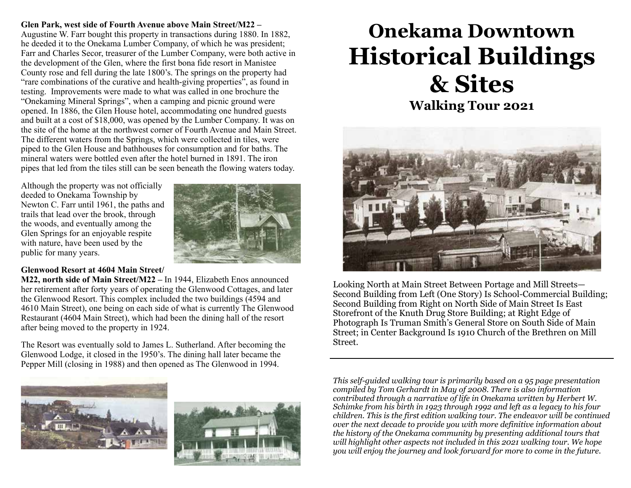#### **Glen Park, west side of Fourth Avenue above Main Street/M22 –**  Augustine W. Farr bought this property in transactions during 1880. In 1882, he deeded it to the Onekama Lumber Company, of which he was president; Farr and Charles Secor, treasurer of the Lumber Company, were both active in the development of the Glen, where the first bona fide resort in Manistee County rose and fell during the late 1800's. The springs on the property had "rare combinations of the curative and health-giving properties", as found in testing. Improvements were made to what was called in one brochure the "Onekaming Mineral Springs", when a camping and picnic ground were opened. In 1886, the Glen House hotel, accommodating one hundred guests and built at a cost of \$18,000, was opened by the Lumber Company. It was on the site of the home at the northwest corner of Fourth Avenue and Main Street. The different waters from the Springs, which were collected in tiles, were piped to the Glen House and bathhouses for consumption and for baths. The mineral waters were bottled even after the hotel burned in 1891. The iron pipes that led from the tiles still can be seen beneath the flowing waters today.

Although the property was not officially deeded to Onekama Township by Newton C. Farr until 1961, the paths and trails that lead over the brook, through the woods, and eventually among the Glen Springs for an enjoyable respite with nature, have been used by the public for many years.



#### **Glenwood Resort at 4604 Main Street/**

**M22, north side of Main Street/M22 –** In 1944, Elizabeth Enos announced her retirement after forty years of operating the Glenwood Cottages, and later the Glenwood Resort. This complex included the two buildings (4594 and 4610 Main Street), one being on each side of what is currently The Glenwood Restaurant (4604 Main Street), which had been the dining hall of the resort after being moved to the property in 1924.

The Resort was eventually sold to James L. Sutherland. After becoming the Glenwood Lodge, it closed in the 1950's. The dining hall later became the Pepper Mill (closing in 1988) and then opened as The Glenwood in 1994.





# **Onekama Downtown Historical Buildings & Sites Walking Tour 2021**



Looking North at Main Street Between Portage and Mill Streets— Second Building from Left (One Story) Is School-Commercial Building; Second Building from Right on North Side of Main Street Is East Storefront of the Knuth Drug Store Building; at Right Edge of Photograph Is Truman Smith's General Store on South Side of Main Street; in Center Background Is 1910 Church of the Brethren on Mill Street.

*This self-guided walking tour is primarily based on a 95 page presentation compiled by Tom Gerhardt in May of 2008. There is also information contributed through a narrative of life in Onekama written by Herbert W. Schimke from his birth in 1923 through 1992 and left as a legacy to his four children. This is the first edition walking tour. The endeavor will be continued over the next decade to provide you with more definitive information about the history of the Onekama community by presenting additional tours that will highlight other aspects not included in this 2021 walking tour. We hope you will enjoy the journey and look forward for more to come in the future.*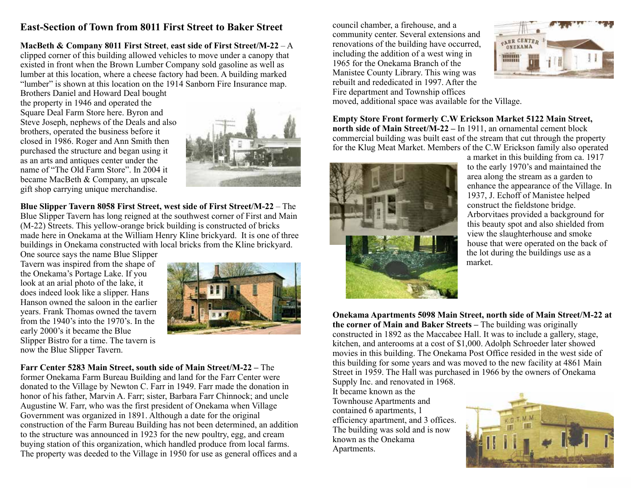## **East-Section of Town from 8011 First Street to Baker Street**

**MacBeth & Company 8011 First Street**, **east side of First Street/M-22** – A clipped corner of this building allowed vehicles to move under a canopy that existed in front when the Brown Lumber Company sold gasoline as well as lumber at this location, where a cheese factory had been. A building marked "lumber" is shown at this location on the 1914 Sanborn Fire Insurance map.

Brothers Daniel and Howard Deal bought the property in 1946 and operated the Square Deal Farm Store here. Byron and Steve Joseph, nephews of the Deals and also brothers, operated the business before it closed in 1986. Roger and Ann Smith then purchased the structure and began using it as an arts and antiques center under the name of "The Old Farm Store". In 2004 it became MacBeth & Company, an upscale gift shop carrying unique merchandise.



**Blue Slipper Tavern 8058 First Street, west side of First Street/M-22** – The Blue Slipper Tavern has long reigned at the southwest corner of First and Main (M-22) Streets. This yellow-orange brick building is constructed of bricks made here in Onekama at the William Henry Kline brickyard. It is one of three buildings in Onekama constructed with local bricks from the Kline brickyard.

One source says the name Blue Slipper Tavern was inspired from the shape of the Onekama's Portage Lake. If you look at an arial photo of the lake, it does indeed look like a slipper. Hans Hanson owned the saloon in the earlier years. Frank Thomas owned the tavern from the 1940's into the 1970's. In the early 2000's it became the Blue Slipper Bistro for a time. The tavern is now the Blue Slipper Tavern.



**Farr Center 5283 Main Street, south side of Main Street/M-22 –** The former Onekama Farm Bureau Building and land for the Farr Center were donated to the Village by Newton C. Farr in 1949. Farr made the donation in honor of his father, Marvin A. Farr; sister, Barbara Farr Chinnock; and uncle Augustine W. Farr, who was the first president of Onekama when Village Government was organized in 1891. Although a date for the original construction of the Farm Bureau Building has not been determined, an addition to the structure was announced in 1923 for the new poultry, egg, and cream buying station of this organization, which handled produce from local farms. The property was deeded to the Village in 1950 for use as general offices and a

council chamber, a firehouse, and a community center. Several extensions and renovations of the building have occurred, including the addition of a west wing in 1965 for the Onekama Branch of the Manistee County Library. This wing was rebuilt and rededicated in 1997. After the Fire department and Township offices



moved, additional space was available for the Village.

**Empty Store Front formerly C.W Erickson Market 5122 Main Street, north side of Main Street/M-22 –** In 1911, an ornamental cement block commercial building was built east of the stream that cut through the property for the Klug Meat Market. Members of the C.W Erickson family also operated



a market in this building from ca. 1917 to the early 1970's and maintained the area along the stream as a garden to enhance the appearance of the Village. In 1937, J. Echoff of Manistee helped construct the fieldstone bridge. Arborvitaes provided a background for this beauty spot and also shielded from view the slaughterhouse and smoke house that were operated on the back of the lot during the buildings use as a market.

**Onekama Apartments 5098 Main Street, north side of Main Street/M-22 at the corner of Main and Baker Streets –** The building was originally constructed in 1892 as the Maccabee Hall. It was to include a gallery, stage, kitchen, and anterooms at a cost of \$1,000. Adolph Schroeder later showed movies in this building. The Onekama Post Office resided in the west side of this building for some years and was moved to the new facility at 4861 Main Street in 1959. The Hall was purchased in 1966 by the owners of Onekama Supply Inc. and renovated in 1968.

It became known as the Townhouse Apartments and contained 6 apartments, 1 efficiency apartment, and 3 offices. The building was sold and is now known as the Onekama Apartments.

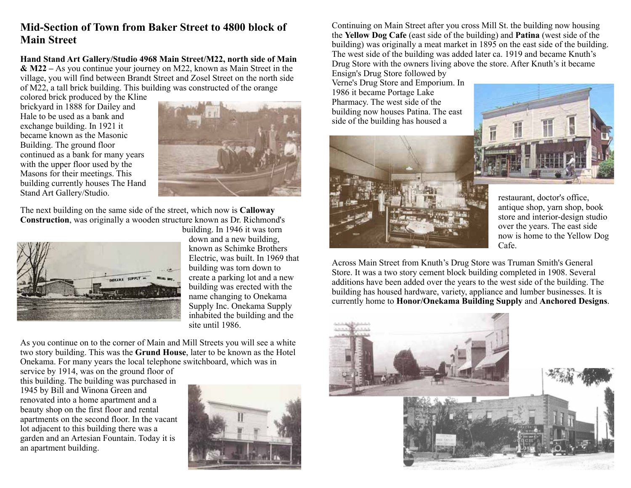## **Mid-Section of Town from Baker Street to 4800 block of Main Street**

**Hand Stand Art Gallery/Studio 4968 Main Street/M22, north side of Main & M22 –** As you continue your journey on M22, known as Main Street in the village, you will find between Brandt Street and Zosel Street on the north side of M22, a tall brick building. This building was constructed of the orange

colored brick produced by the Kline brickyard in 1888 for Dailey and Hale to be used as a bank and exchange building. In 1921 it became known as the Masonic Building. The ground floor continued as a bank for many years with the upper floor used by the Masons for their meetings. This building currently houses The Hand Stand Art Gallery/Studio.



The next building on the same side of the street, which now is **Calloway Construction**, was originally a wooden structure known as Dr. Richmond's



building. In 1946 it was torn down and a new building, known as Schimke Brothers Electric, was built. In 1969 that building was torn down to create a parking lot and a new building was erected with the name changing to Onekama Supply Inc. Onekama Supply inhabited the building and the site until 1986.

As you continue on to the corner of Main and Mill Streets you will see a white two story building. This was the **Grund House**, later to be known as the Hotel Onekama. For many years the local telephone switchboard, which was in

service by 1914, was on the ground floor of this building. The building was purchased in 1945 by Bill and Winona Green and renovated into a home apartment and a beauty shop on the first floor and rental apartments on the second floor. In the vacant lot adjacent to this building there was a garden and an Artesian Fountain. Today it is an apartment building.



Continuing on Main Street after you cross Mill St. the building now housing the **Yellow Dog Cafe** (east side of the building) and **Patina** (west side of the building) was originally a meat market in 1895 on the east side of the building. The west side of the building was added later ca. 1919 and became Knuth's Drug Store with the owners living above the store. After Knuth's it became

Ensign's Drug Store followed by Verne's Drug Store and Emporium. In 1986 it became Portage Lake Pharmacy. The west side of the building now houses Patina. The east side of the building has housed a





restaurant, doctor's office, antique shop, yarn shop, book store and interior-design studio over the years. The east side now is home to the Yellow Dog Cafe.

Across Main Street from Knuth's Drug Store was Truman Smith's General Store. It was a two story cement block building completed in 1908. Several additions have been added over the years to the west side of the building. The building has housed hardware, variety, appliance and lumber businesses. It is currently home to **Honor/Onekama Building Supply** and **Anchored Designs**.